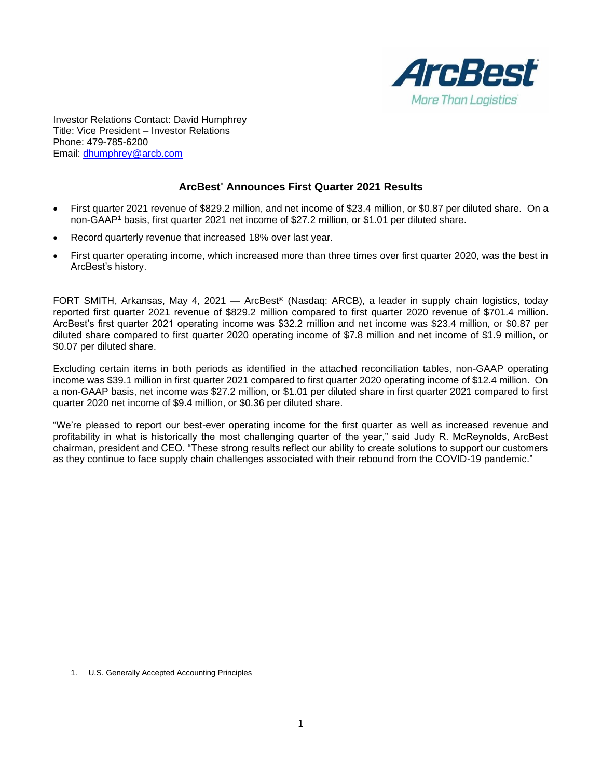

Investor Relations Contact: David Humphrey Title: Vice President – Investor Relations Phone: 479-785-6200 Email: [dhumphrey@arcb.com](mailto:dhumphrey@arcb.com)

## **ArcBest® Announces First Quarter 2021 Results**

- First quarter 2021 revenue of \$829.2 million, and net income of \$23.4 million, or \$0.87 per diluted share. On a non-GAAP<sup>1</sup> basis, first quarter 2021 net income of \$27.2 million, or \$1.01 per diluted share.
- Record quarterly revenue that increased 18% over last year.
- First quarter operating income, which increased more than three times over first quarter 2020, was the best in ArcBest's history.

FORT SMITH, Arkansas, May 4, 2021 — ArcBest® (Nasdaq: ARCB), a leader in supply chain logistics, today reported first quarter 2021 revenue of \$829.2 million compared to first quarter 2020 revenue of \$701.4 million. ArcBest's first quarter 2021 operating income was \$32.2 million and net income was \$23.4 million, or \$0.87 per diluted share compared to first quarter 2020 operating income of \$7.8 million and net income of \$1.9 million, or \$0.07 per diluted share.

Excluding certain items in both periods as identified in the attached reconciliation tables, non-GAAP operating income was \$39.1 million in first quarter 2021 compared to first quarter 2020 operating income of \$12.4 million. On a non-GAAP basis, net income was \$27.2 million, or \$1.01 per diluted share in first quarter 2021 compared to first quarter 2020 net income of \$9.4 million, or \$0.36 per diluted share.

"We're pleased to report our best-ever operating income for the first quarter as well as increased revenue and profitability in what is historically the most challenging quarter of the year," said Judy R. McReynolds, ArcBest chairman, president and CEO. "These strong results reflect our ability to create solutions to support our customers as they continue to face supply chain challenges associated with their rebound from the COVID-19 pandemic."

1. U.S. Generally Accepted Accounting Principles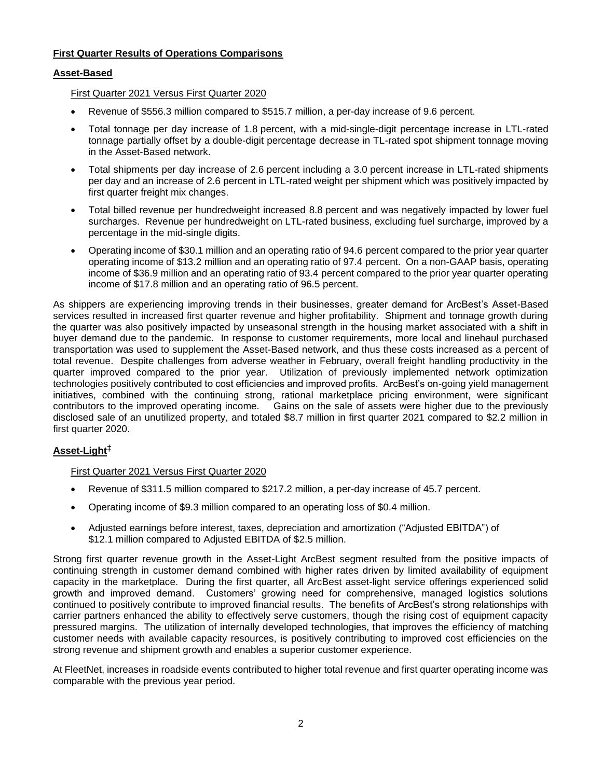## **First Quarter Results of Operations Comparisons**

## **Asset-Based**

First Quarter 2021 Versus First Quarter 2020

- Revenue of \$556.3 million compared to \$515.7 million, a per-day increase of 9.6 percent.
- Total tonnage per day increase of 1.8 percent, with a mid-single-digit percentage increase in LTL-rated tonnage partially offset by a double-digit percentage decrease in TL-rated spot shipment tonnage moving in the Asset-Based network.
- Total shipments per day increase of 2.6 percent including a 3.0 percent increase in LTL-rated shipments per day and an increase of 2.6 percent in LTL-rated weight per shipment which was positively impacted by first quarter freight mix changes.
- Total billed revenue per hundredweight increased 8.8 percent and was negatively impacted by lower fuel surcharges. Revenue per hundredweight on LTL-rated business, excluding fuel surcharge, improved by a percentage in the mid-single digits.
- Operating income of \$30.1 million and an operating ratio of 94.6 percent compared to the prior year quarter operating income of \$13.2 million and an operating ratio of 97.4 percent. On a non-GAAP basis, operating income of \$36.9 million and an operating ratio of 93.4 percent compared to the prior year quarter operating income of \$17.8 million and an operating ratio of 96.5 percent.

As shippers are experiencing improving trends in their businesses, greater demand for ArcBest's Asset-Based services resulted in increased first quarter revenue and higher profitability. Shipment and tonnage growth during the quarter was also positively impacted by unseasonal strength in the housing market associated with a shift in buyer demand due to the pandemic. In response to customer requirements, more local and linehaul purchased transportation was used to supplement the Asset-Based network, and thus these costs increased as a percent of total revenue. Despite challenges from adverse weather in February, overall freight handling productivity in the quarter improved compared to the prior year. Utilization of previously implemented network optimization technologies positively contributed to cost efficiencies and improved profits. ArcBest's on-going yield management initiatives, combined with the continuing strong, rational marketplace pricing environment, were significant contributors to the improved operating income. Gains on the sale of assets were higher due to the previously disclosed sale of an unutilized property, and totaled \$8.7 million in first quarter 2021 compared to \$2.2 million in first quarter 2020.

# **Asset-Light**‡

First Quarter 2021 Versus First Quarter 2020

- Revenue of \$311.5 million compared to \$217.2 million, a per-day increase of 45.7 percent.
- Operating income of \$9.3 million compared to an operating loss of \$0.4 million.
- Adjusted earnings before interest, taxes, depreciation and amortization ("Adjusted EBITDA") of \$12.1 million compared to Adjusted EBITDA of \$2.5 million.

Strong first quarter revenue growth in the Asset-Light ArcBest segment resulted from the positive impacts of continuing strength in customer demand combined with higher rates driven by limited availability of equipment capacity in the marketplace. During the first quarter, all ArcBest asset-light service offerings experienced solid growth and improved demand. Customers' growing need for comprehensive, managed logistics solutions continued to positively contribute to improved financial results. The benefits of ArcBest's strong relationships with carrier partners enhanced the ability to effectively serve customers, though the rising cost of equipment capacity pressured margins. The utilization of internally developed technologies, that improves the efficiency of matching customer needs with available capacity resources, is positively contributing to improved cost efficiencies on the strong revenue and shipment growth and enables a superior customer experience.

At FleetNet, increases in roadside events contributed to higher total revenue and first quarter operating income was comparable with the previous year period.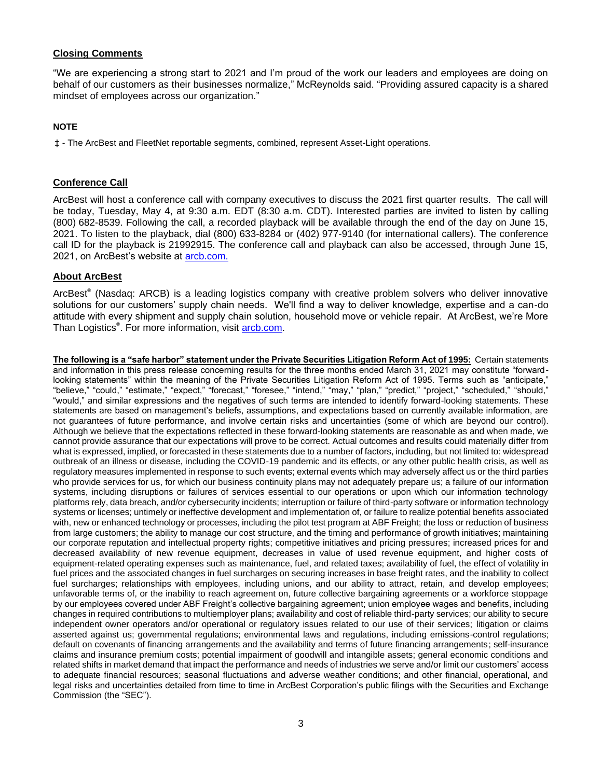## **Closing Comments**

"We are experiencing a strong start to 2021 and I'm proud of the work our leaders and employees are doing on behalf of our customers as their businesses normalize," McReynolds said. "Providing assured capacity is a shared mindset of employees across our organization."

### **NOTE**

‡ - The ArcBest and FleetNet reportable segments, combined, represent Asset-Light operations.

## **Conference Call**

ArcBest will host a conference call with company executives to discuss the 2021 first quarter results. The call will be today, Tuesday, May 4, at 9:30 a.m. EDT (8:30 a.m. CDT). Interested parties are invited to listen by calling (800) 682-8539. Following the call, a recorded playback will be available through the end of the day on June 15, 2021. To listen to the playback, dial (800) 633-8284 or (402) 977-9140 (for international callers). The conference call ID for the playback is 21992915. The conference call and playback can also be accessed, through June 15, 2021, on ArcBest's website at [arcb.com](http://www.arcb.com/).

## **About ArcBest**

ArcBest<sup>®</sup> (Nasdaq: ARCB) is a leading logistics company with creative problem solvers who deliver innovative solutions for our customers' supply chain needs. We'll find a way to deliver knowledge, expertise and a can-do attitude with every shipment and supply chain solution, household move or vehicle repair. At ArcBest, we're More Than Logistics<sup>®</sup>. For more information, visit **arcb.com**.

**The following is a "safe harbor" statement under the Private Securities Litigation Reform Act of 1995:** Certain statements and information in this press release concerning results for the three months ended March 31, 2021 may constitute "forwardlooking statements" within the meaning of the Private Securities Litigation Reform Act of 1995. Terms such as "anticipate," "believe," "could," "estimate," "expect," "forecast," "foresee," "intend," "may," "plan," "predict," "project," "scheduled," "should," "would," and similar expressions and the negatives of such terms are intended to identify forward-looking statements. These statements are based on management's beliefs, assumptions, and expectations based on currently available information, are not guarantees of future performance, and involve certain risks and uncertainties (some of which are beyond our control). Although we believe that the expectations reflected in these forward-looking statements are reasonable as and when made, we cannot provide assurance that our expectations will prove to be correct. Actual outcomes and results could materially differ from what is expressed, implied, or forecasted in these statements due to a number of factors, including, but not limited to: widespread outbreak of an illness or disease, including the COVID-19 pandemic and its effects, or any other public health crisis, as well as regulatory measures implemented in response to such events; external events which may adversely affect us or the third parties who provide services for us, for which our business continuity plans may not adequately prepare us; a failure of our information systems, including disruptions or failures of services essential to our operations or upon which our information technology platforms rely, data breach, and/or cybersecurity incidents; interruption or failure of third-party software or information technology systems or licenses; untimely or ineffective development and implementation of, or failure to realize potential benefits associated with, new or enhanced technology or processes, including the pilot test program at ABF Freight; the loss or reduction of business from large customers; the ability to manage our cost structure, and the timing and performance of growth initiatives; maintaining our corporate reputation and intellectual property rights; competitive initiatives and pricing pressures; increased prices for and decreased availability of new revenue equipment, decreases in value of used revenue equipment, and higher costs of equipment-related operating expenses such as maintenance, fuel, and related taxes; availability of fuel, the effect of volatility in fuel prices and the associated changes in fuel surcharges on securing increases in base freight rates, and the inability to collect fuel surcharges; relationships with employees, including unions, and our ability to attract, retain, and develop employees; unfavorable terms of, or the inability to reach agreement on, future collective bargaining agreements or a workforce stoppage by our employees covered under ABF Freight's collective bargaining agreement; union employee wages and benefits, including changes in required contributions to multiemployer plans; availability and cost of reliable third-party services; our ability to secure independent owner operators and/or operational or regulatory issues related to our use of their services; litigation or claims asserted against us; governmental regulations; environmental laws and regulations, including emissions-control regulations; default on covenants of financing arrangements and the availability and terms of future financing arrangements; self-insurance claims and insurance premium costs; potential impairment of goodwill and intangible assets; general economic conditions and related shifts in market demand that impact the performance and needs of industries we serve and/or limit our customers' access to adequate financial resources; seasonal fluctuations and adverse weather conditions; and other financial, operational, and legal risks and uncertainties detailed from time to time in ArcBest Corporation's public filings with the Securities and Exchange Commission (the "SEC").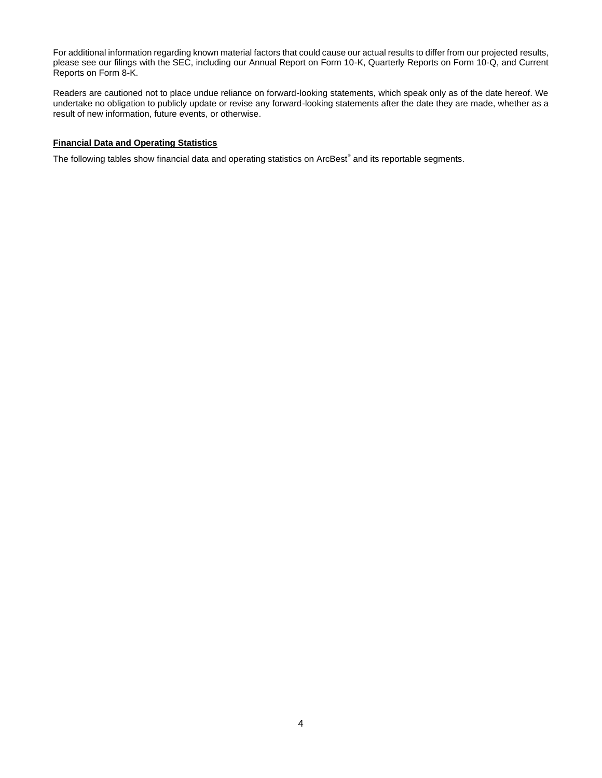For additional information regarding known material factors that could cause our actual results to differ from our projected results, please see our filings with the SEC, including our Annual Report on Form 10-K, Quarterly Reports on Form 10-Q, and Current Reports on Form 8-K.

Readers are cautioned not to place undue reliance on forward-looking statements, which speak only as of the date hereof. We undertake no obligation to publicly update or revise any forward-looking statements after the date they are made, whether as a result of new information, future events, or otherwise.

#### **Financial Data and Operating Statistics**

The following tables show financial data and operating statistics on ArcBest $\degree$  and its reportable segments.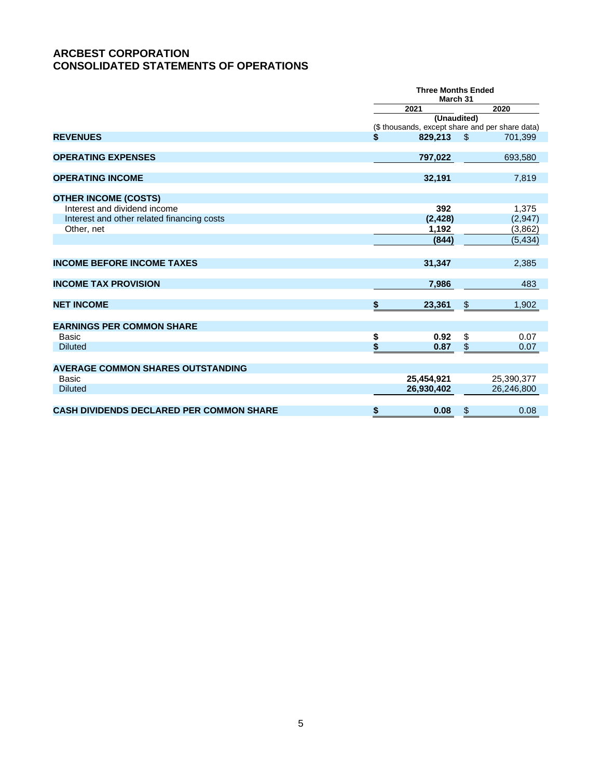# **ARCBEST CORPORATION CONSOLIDATED STATEMENTS OF OPERATIONS**

| 2021<br>2020<br>(Unaudited)<br>(\$ thousands, except share and per share data)<br>829,213<br>$\mathfrak{L}$<br><b>REVENUES</b><br>701.399<br>\$<br><b>OPERATING EXPENSES</b><br>797,022<br>693,580<br><b>OPERATING INCOME</b><br>32,191<br>7,819<br><b>OTHER INCOME (COSTS)</b><br>Interest and dividend income<br>392<br>1,375<br>Interest and other related financing costs<br>(2, 428)<br>(2, 947)<br>1,192<br>Other, net<br>(3,862)<br>(844)<br>(5, 434)<br><b>INCOME BEFORE INCOME TAXES</b><br>31,347<br>2,385<br><b>INCOME TAX PROVISION</b><br>483<br>7,986<br><b>NET INCOME</b><br>23,361<br>1,902<br>\$<br>\$<br><b>EARNINGS PER COMMON SHARE</b><br>\$<br>\$<br>0.92<br>0.07<br>Basic<br>\$<br>\$<br><b>Diluted</b><br>0.87<br>0.07<br><b>AVERAGE COMMON SHARES OUTSTANDING</b><br>25,454,921<br>25,390,377<br>Basic<br><b>Diluted</b><br>26,930,402<br>26,246,800 |                                                 | <b>Three Months Ended</b><br>March 31 |      |    |      |  |
|-------------------------------------------------------------------------------------------------------------------------------------------------------------------------------------------------------------------------------------------------------------------------------------------------------------------------------------------------------------------------------------------------------------------------------------------------------------------------------------------------------------------------------------------------------------------------------------------------------------------------------------------------------------------------------------------------------------------------------------------------------------------------------------------------------------------------------------------------------------------------------|-------------------------------------------------|---------------------------------------|------|----|------|--|
|                                                                                                                                                                                                                                                                                                                                                                                                                                                                                                                                                                                                                                                                                                                                                                                                                                                                               |                                                 |                                       |      |    |      |  |
|                                                                                                                                                                                                                                                                                                                                                                                                                                                                                                                                                                                                                                                                                                                                                                                                                                                                               |                                                 |                                       |      |    |      |  |
|                                                                                                                                                                                                                                                                                                                                                                                                                                                                                                                                                                                                                                                                                                                                                                                                                                                                               |                                                 |                                       |      |    |      |  |
|                                                                                                                                                                                                                                                                                                                                                                                                                                                                                                                                                                                                                                                                                                                                                                                                                                                                               |                                                 |                                       |      |    |      |  |
|                                                                                                                                                                                                                                                                                                                                                                                                                                                                                                                                                                                                                                                                                                                                                                                                                                                                               |                                                 |                                       |      |    |      |  |
|                                                                                                                                                                                                                                                                                                                                                                                                                                                                                                                                                                                                                                                                                                                                                                                                                                                                               |                                                 |                                       |      |    |      |  |
|                                                                                                                                                                                                                                                                                                                                                                                                                                                                                                                                                                                                                                                                                                                                                                                                                                                                               |                                                 |                                       |      |    |      |  |
|                                                                                                                                                                                                                                                                                                                                                                                                                                                                                                                                                                                                                                                                                                                                                                                                                                                                               |                                                 |                                       |      |    |      |  |
|                                                                                                                                                                                                                                                                                                                                                                                                                                                                                                                                                                                                                                                                                                                                                                                                                                                                               |                                                 |                                       |      |    |      |  |
|                                                                                                                                                                                                                                                                                                                                                                                                                                                                                                                                                                                                                                                                                                                                                                                                                                                                               |                                                 |                                       |      |    |      |  |
|                                                                                                                                                                                                                                                                                                                                                                                                                                                                                                                                                                                                                                                                                                                                                                                                                                                                               |                                                 |                                       |      |    |      |  |
|                                                                                                                                                                                                                                                                                                                                                                                                                                                                                                                                                                                                                                                                                                                                                                                                                                                                               |                                                 |                                       |      |    |      |  |
|                                                                                                                                                                                                                                                                                                                                                                                                                                                                                                                                                                                                                                                                                                                                                                                                                                                                               |                                                 |                                       |      |    |      |  |
|                                                                                                                                                                                                                                                                                                                                                                                                                                                                                                                                                                                                                                                                                                                                                                                                                                                                               |                                                 |                                       |      |    |      |  |
|                                                                                                                                                                                                                                                                                                                                                                                                                                                                                                                                                                                                                                                                                                                                                                                                                                                                               |                                                 |                                       |      |    |      |  |
|                                                                                                                                                                                                                                                                                                                                                                                                                                                                                                                                                                                                                                                                                                                                                                                                                                                                               |                                                 |                                       |      |    |      |  |
|                                                                                                                                                                                                                                                                                                                                                                                                                                                                                                                                                                                                                                                                                                                                                                                                                                                                               |                                                 |                                       |      |    |      |  |
|                                                                                                                                                                                                                                                                                                                                                                                                                                                                                                                                                                                                                                                                                                                                                                                                                                                                               |                                                 |                                       |      |    |      |  |
|                                                                                                                                                                                                                                                                                                                                                                                                                                                                                                                                                                                                                                                                                                                                                                                                                                                                               |                                                 |                                       |      |    |      |  |
|                                                                                                                                                                                                                                                                                                                                                                                                                                                                                                                                                                                                                                                                                                                                                                                                                                                                               |                                                 |                                       |      |    |      |  |
|                                                                                                                                                                                                                                                                                                                                                                                                                                                                                                                                                                                                                                                                                                                                                                                                                                                                               |                                                 |                                       |      |    |      |  |
|                                                                                                                                                                                                                                                                                                                                                                                                                                                                                                                                                                                                                                                                                                                                                                                                                                                                               |                                                 |                                       |      |    |      |  |
|                                                                                                                                                                                                                                                                                                                                                                                                                                                                                                                                                                                                                                                                                                                                                                                                                                                                               |                                                 |                                       |      |    |      |  |
|                                                                                                                                                                                                                                                                                                                                                                                                                                                                                                                                                                                                                                                                                                                                                                                                                                                                               | <b>CASH DIVIDENDS DECLARED PER COMMON SHARE</b> | \$                                    | 0.08 | \$ | 0.08 |  |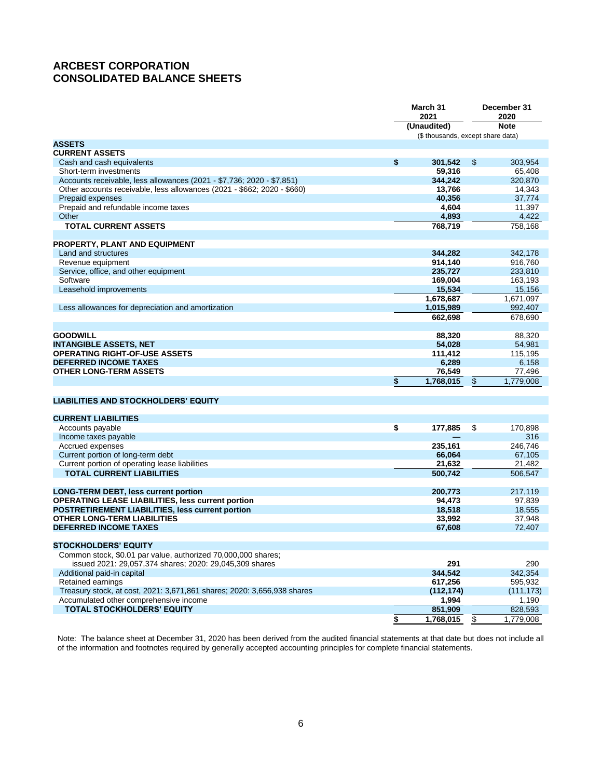# **ARCBEST CORPORATION CONSOLIDATED BALANCE SHEETS**

|                                                                         | March 31<br>2021                  |                | December 31<br>2020 |
|-------------------------------------------------------------------------|-----------------------------------|----------------|---------------------|
|                                                                         | (Unaudited)                       |                | <b>Note</b>         |
|                                                                         | (\$ thousands, except share data) |                |                     |
| <b>ASSETS</b>                                                           |                                   |                |                     |
| <b>CURRENT ASSETS</b>                                                   |                                   |                |                     |
| Cash and cash equivalents                                               | \$<br>301,542                     | $\mathfrak{S}$ | 303,954             |
| Short-term investments                                                  | 59,316                            |                | 65,408              |
| Accounts receivable, less allowances (2021 - \$7,736; 2020 - \$7,851)   | 344,242                           |                | 320,870             |
| Other accounts receivable, less allowances (2021 - \$662; 2020 - \$660) | 13,766                            |                | 14,343              |
| Prepaid expenses                                                        | 40,356                            |                | 37,774              |
| Prepaid and refundable income taxes                                     | 4,604                             |                | 11,397              |
| Other                                                                   | 4,893                             |                | 4,422               |
| <b>TOTAL CURRENT ASSETS</b>                                             | 768,719                           |                | 758,168             |
| PROPERTY, PLANT AND EQUIPMENT                                           |                                   |                |                     |
| Land and structures                                                     | 344,282                           |                | 342,178             |
| Revenue equipment                                                       | 914,140                           |                | 916,760             |
| Service, office, and other equipment                                    | 235,727                           |                | 233,810             |
| Software                                                                | 169,004                           |                | 163,193             |
| Leasehold improvements                                                  | 15,534                            |                | 15,156              |
|                                                                         | 1,678,687                         |                | 1,671,097           |
| Less allowances for depreciation and amortization                       | 1,015,989                         |                | 992,407             |
|                                                                         | 662,698                           |                | 678,690             |
| <b>GOODWILL</b>                                                         | 88,320                            |                | 88,320              |
| <b>INTANGIBLE ASSETS, NET</b>                                           | 54,028                            |                | 54,981              |
| <b>OPERATING RIGHT-OF-USE ASSETS</b>                                    | 111,412                           |                | 115,195             |
| <b>DEFERRED INCOME TAXES</b>                                            | 6,289                             |                | 6,158               |
| <b>OTHER LONG-TERM ASSETS</b>                                           | 76,549                            |                | 77,496              |
|                                                                         | \$<br>1,768,015                   | \$             | 1,779,008           |
|                                                                         |                                   |                |                     |
| <b>LIABILITIES AND STOCKHOLDERS' EQUITY</b>                             |                                   |                |                     |
| <b>CURRENT LIABILITIES</b>                                              |                                   |                |                     |
| Accounts payable                                                        | \$<br>177,885                     | \$             | 170,898             |
| Income taxes payable                                                    |                                   |                | 316                 |
| Accrued expenses                                                        | 235,161                           |                | 246,746             |
| Current portion of long-term debt                                       | 66,064                            |                | 67,105              |
| Current portion of operating lease liabilities                          | 21,632                            |                | 21,482              |
| <b>TOTAL CURRENT LIABILITIES</b>                                        | 500,742                           |                | 506,547             |
| <b>LONG-TERM DEBT, less current portion</b>                             | 200,773                           |                | 217,119             |
| <b>OPERATING LEASE LIABILITIES, less current portion</b>                | 94,473                            |                | 97,839              |
| <b>POSTRETIREMENT LIABILITIES, less current portion</b>                 | 18,518                            |                | 18,555              |
| <b>OTHER LONG-TERM LIABILITIES</b>                                      | 33,992                            |                | 37,948              |
| <b>DEFERRED INCOME TAXES</b>                                            | 67,608                            |                | 72,407              |
|                                                                         |                                   |                |                     |
| <b>STOCKHOLDERS' EQUITY</b>                                             |                                   |                |                     |
| Common stock, \$0.01 par value, authorized 70,000,000 shares;           |                                   |                |                     |
| issued 2021: 29,057,374 shares; 2020: 29,045,309 shares                 | 291                               |                | 290                 |
| Additional paid-in capital                                              | 344,542                           |                | 342,354             |
| Retained earnings                                                       | 617,256                           |                | 595,932             |
| Treasury stock, at cost, 2021: 3,671,861 shares; 2020: 3,656,938 shares | (112, 174)                        |                | (111, 173)          |
| Accumulated other comprehensive income                                  | 1,994                             |                | 1,190               |
| <b>TOTAL STOCKHOLDERS' EQUITY</b>                                       | 851,909                           |                | 828,593             |
|                                                                         | \$<br>1,768,015                   | \$             | 1,779,008           |

Note: The balance sheet at December 31, 2020 has been derived from the audited financial statements at that date but does not include all of the information and footnotes required by generally accepted accounting principles for complete financial statements.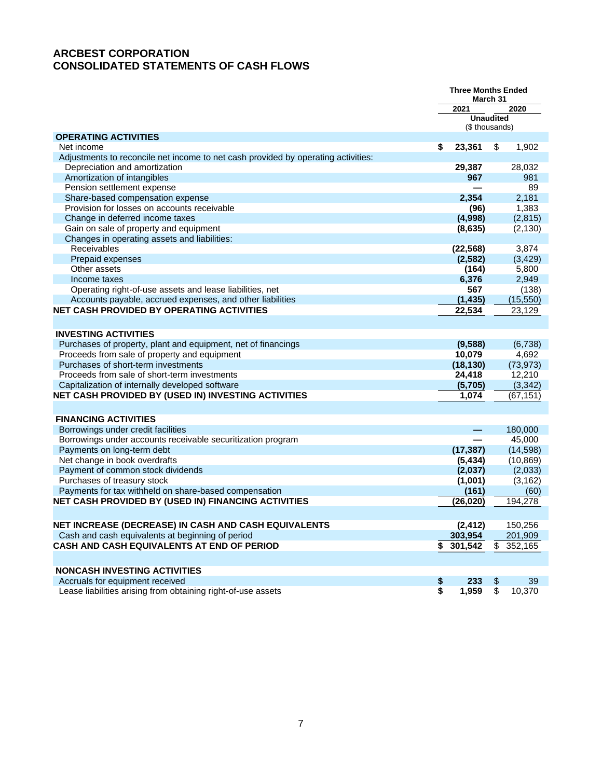# **ARCBEST CORPORATION CONSOLIDATED STATEMENTS OF CASH FLOWS**

|                                                                                   | <b>Three Months Ended</b><br>March 31 |                      |    |           |
|-----------------------------------------------------------------------------------|---------------------------------------|----------------------|----|-----------|
|                                                                                   |                                       | 2021                 |    | 2020      |
|                                                                                   |                                       | <b>Unaudited</b>     |    |           |
| <b>OPERATING ACTIVITIES</b>                                                       |                                       | (\$ thousands)       |    |           |
| Net income                                                                        | \$                                    | 23,361               | \$ | 1,902     |
| Adjustments to reconcile net income to net cash provided by operating activities: |                                       |                      |    |           |
| Depreciation and amortization                                                     |                                       | 29,387               |    | 28,032    |
| Amortization of intangibles                                                       |                                       | 967                  |    | 981       |
| Pension settlement expense                                                        |                                       |                      |    | 89        |
| Share-based compensation expense                                                  |                                       | 2,354                |    | 2,181     |
| Provision for losses on accounts receivable                                       |                                       | (96)                 |    | 1,383     |
| Change in deferred income taxes                                                   |                                       | (4,998)              |    | (2, 815)  |
| Gain on sale of property and equipment                                            |                                       | (8,635)              |    | (2, 130)  |
| Changes in operating assets and liabilities:                                      |                                       |                      |    |           |
| Receivables                                                                       |                                       | (22, 568)            |    | 3,874     |
| Prepaid expenses                                                                  |                                       | (2, 582)             |    | (3, 429)  |
| Other assets                                                                      |                                       | (164)                |    | 5,800     |
| Income taxes                                                                      |                                       | 6,376                |    | 2,949     |
| Operating right-of-use assets and lease liabilities, net                          |                                       | 567                  |    | (138)     |
| Accounts payable, accrued expenses, and other liabilities                         |                                       | (1, 435)             |    | (15, 550) |
| NET CASH PROVIDED BY OPERATING ACTIVITIES                                         |                                       | 22,534               |    | 23,129    |
|                                                                                   |                                       |                      |    |           |
| <b>INVESTING ACTIVITIES</b>                                                       |                                       |                      |    |           |
| Purchases of property, plant and equipment, net of financings                     |                                       | (9,588)              |    | (6,738)   |
| Proceeds from sale of property and equipment                                      |                                       | 10,079               |    | 4,692     |
| Purchases of short-term investments                                               |                                       | (18, 130)            |    | (73, 973) |
| Proceeds from sale of short-term investments                                      |                                       | 24,418               |    | 12,210    |
| Capitalization of internally developed software                                   |                                       | (5,705)              |    | (3, 342)  |
| NET CASH PROVIDED BY (USED IN) INVESTING ACTIVITIES                               |                                       | 1,074                |    | (67, 151) |
|                                                                                   |                                       |                      |    |           |
| <b>FINANCING ACTIVITIES</b>                                                       |                                       |                      |    |           |
| Borrowings under credit facilities                                                |                                       |                      |    | 180,000   |
| Borrowings under accounts receivable securitization program                       |                                       |                      |    | 45,000    |
| Payments on long-term debt                                                        |                                       | (17, 387)            |    | (14, 598) |
| Net change in book overdrafts                                                     |                                       | (5, 434)             |    | (10, 869) |
| Payment of common stock dividends                                                 |                                       | (2,037)              |    | (2,033)   |
| Purchases of treasury stock                                                       |                                       | (1,001)              |    | (3, 162)  |
| Payments for tax withheld on share-based compensation                             |                                       | (161)                |    | (60)      |
| NET CASH PROVIDED BY (USED IN) FINANCING ACTIVITIES                               |                                       | (26, 020)            |    | 194,278   |
|                                                                                   |                                       |                      |    |           |
| NET INCREASE (DECREASE) IN CASH AND CASH EQUIVALENTS                              |                                       |                      |    | 150,256   |
| Cash and cash equivalents at beginning of period                                  |                                       | (2, 412)             |    | 201,909   |
| CASH AND CASH EQUIVALENTS AT END OF PERIOD                                        |                                       | 303,954<br>\$301,542 | \$ | 352,165   |
|                                                                                   |                                       |                      |    |           |
|                                                                                   |                                       |                      |    |           |
| <b>NONCASH INVESTING ACTIVITIES</b>                                               |                                       |                      |    |           |
| Accruals for equipment received                                                   | \$                                    | 233                  | \$ | 39        |
| Lease liabilities arising from obtaining right-of-use assets                      | \$                                    | 1,959                | \$ | 10,370    |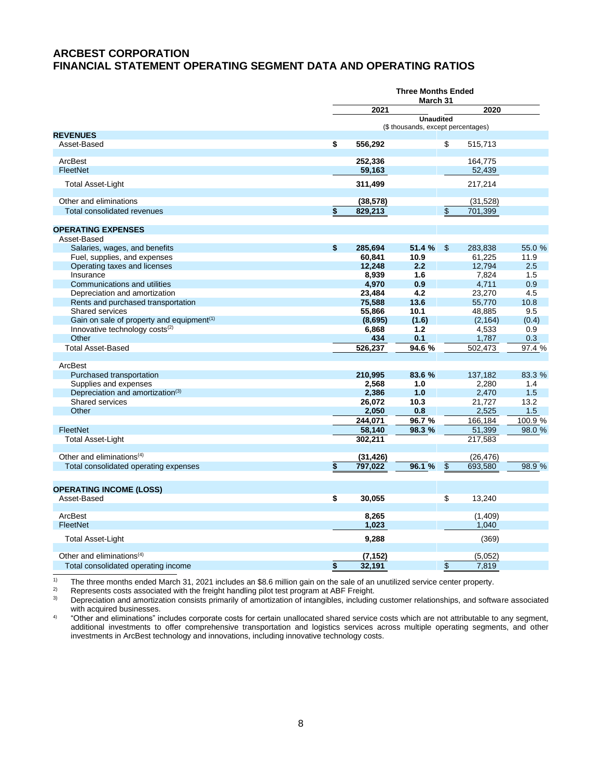## **ARCBEST CORPORATION FINANCIAL STATEMENT OPERATING SEGMENT DATA AND OPERATING RATIOS**

|                                              | <b>Three Months Ended</b><br>March 31 |                                    |                          |           |        |  |
|----------------------------------------------|---------------------------------------|------------------------------------|--------------------------|-----------|--------|--|
|                                              | 2021                                  |                                    |                          | 2020      |        |  |
|                                              |                                       | <b>Unaudited</b>                   |                          |           |        |  |
| <b>REVENUES</b>                              |                                       | (\$ thousands, except percentages) |                          |           |        |  |
| Asset-Based                                  | \$<br>556,292                         |                                    | \$                       | 515,713   |        |  |
| ArcBest                                      | 252,336                               |                                    |                          | 164,775   |        |  |
| FleetNet                                     | 59,163                                |                                    |                          | 52,439    |        |  |
| <b>Total Asset-Light</b>                     | 311,499                               |                                    |                          | 217,214   |        |  |
| Other and eliminations                       | (38, 578)                             |                                    |                          | (31, 528) |        |  |
| Total consolidated revenues                  | \$<br>829,213                         |                                    | \$                       | 701,399   |        |  |
| <b>OPERATING EXPENSES</b>                    |                                       |                                    |                          |           |        |  |
| Asset-Based                                  |                                       |                                    |                          |           |        |  |
| Salaries, wages, and benefits                | \$<br>285,694                         | 51.4 %                             | $\mathfrak{S}$           | 283,838   | 55.0 % |  |
| Fuel, supplies, and expenses                 | 60,841                                | 10.9                               |                          | 61,225    | 11.9   |  |
| Operating taxes and licenses                 | 12.248                                | 2.2                                |                          | 12.794    | 2.5    |  |
| Insurance                                    | 8,939                                 | 1.6                                |                          | 7,824     | 1.5    |  |
| Communications and utilities                 | 4,970                                 | 0.9                                |                          | 4,711     | 0.9    |  |
| Depreciation and amortization                | 23,484                                | 4.2                                |                          | 23,270    | 4.5    |  |
| Rents and purchased transportation           | 75,588                                | 13.6                               |                          | 55,770    | 10.8   |  |
| Shared services                              | 55,866                                | 10.1                               |                          | 48,885    | 9.5    |  |
| Gain on sale of property and equipment $(1)$ | (8,695)                               | (1.6)                              |                          | (2, 164)  | (0.4)  |  |
| Innovative technology costs <sup>(2)</sup>   | 6,868                                 | $1.2$                              |                          | 4,533     | 0.9    |  |
| Other                                        | 434                                   | 0.1                                |                          | 1,787     | 0.3    |  |
| <b>Total Asset-Based</b>                     | 526,237                               | 94.6 %                             |                          | 502,473   | 97.4 % |  |
| ArcBest                                      |                                       |                                    |                          |           |        |  |
| Purchased transportation                     | 210,995                               | 83.6 %                             |                          | 137,182   | 83.3 % |  |
| Supplies and expenses                        | 2.568                                 | 1.0                                |                          | 2,280     | 1.4    |  |
| Depreciation and amortization <sup>(3)</sup> | 2,386                                 | 1.0                                |                          | 2,470     | 1.5    |  |
| Shared services                              | 26,072                                | 10.3                               |                          | 21,727    | 13.2   |  |
| Other                                        | 2,050                                 | 0.8                                |                          | 2,525     | 1.5    |  |
|                                              | 244,071                               | 96.7%                              |                          | 166,184   | 100.9% |  |
| FleetNet                                     | 58,140                                | 98.3 %                             |                          | 51,399    | 98.0%  |  |
|                                              | 302,211                               |                                    |                          | 217,583   |        |  |
| <b>Total Asset-Light</b>                     |                                       |                                    |                          |           |        |  |
| Other and eliminations <sup>(4)</sup>        | (31, 426)                             |                                    |                          | (26, 476) |        |  |
| Total consolidated operating expenses        | \$<br>797,022                         | 96.1 %                             | \$                       | 693,580   | 98.9 % |  |
|                                              |                                       |                                    |                          |           |        |  |
| <b>OPERATING INCOME (LOSS)</b>               |                                       |                                    |                          |           |        |  |
| Asset-Based                                  | \$<br>30,055                          |                                    | \$                       | 13,240    |        |  |
| ArcBest                                      | 8,265                                 |                                    |                          | (1,409)   |        |  |
| FleetNet                                     | 1,023                                 |                                    |                          | 1,040     |        |  |
| <b>Total Asset-Light</b>                     | 9,288                                 |                                    |                          | (369)     |        |  |
|                                              |                                       |                                    |                          |           |        |  |
| Other and eliminations <sup>(4)</sup>        | (7, 152)                              |                                    |                          | (5,052)   |        |  |
| Total consolidated operating income          | \$<br>32,191                          |                                    | $\overline{\mathcal{E}}$ | 7,819     |        |  |

<sup>1)</sup> The three months ended March 31, 2021 includes an \$8.6 million gain on the sale of an unutilized service center property.<br><sup>2)</sup> Benresents costs associated with the freight handling pilot test program at ARE Ereight.

<sup>2)</sup> Represents costs associated with the freight handling pilot test program at ABF Freight.<br><sup>3)</sup> Depreciation and amortization consists primarily of amortization of intangibles, including

<sup>3)</sup> Depreciation and amortization consists primarily of amortization of intangibles, including customer relationships, and software associated with acquired businesses.

4) "Other and eliminations" includes corporate costs for certain unallocated shared service costs which are not attributable to any segment, additional investments to offer comprehensive transportation and logistics services across multiple operating segments, and other investments in ArcBest technology and innovations, including innovative technology costs.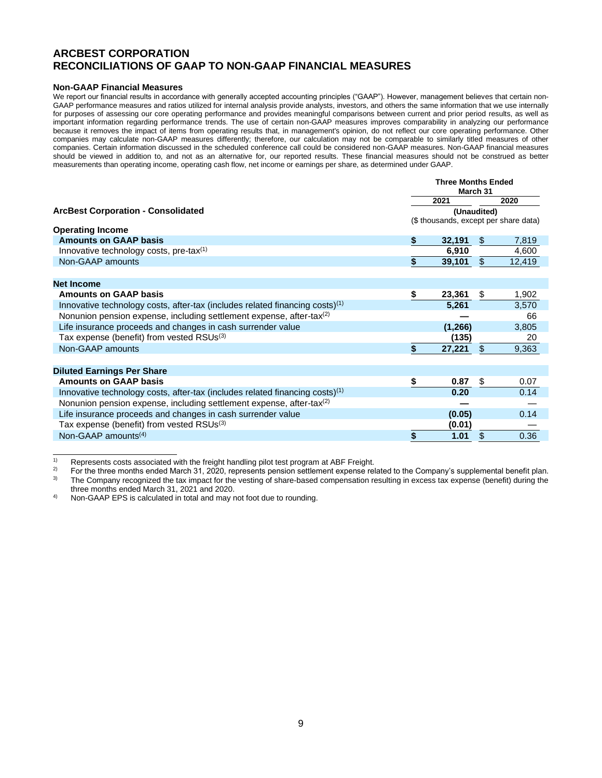## **ARCBEST CORPORATION RECONCILIATIONS OF GAAP TO NON-GAAP FINANCIAL MEASURES**

#### **Non-GAAP Financial Measures**

We report our financial results in accordance with generally accepted accounting principles ("GAAP"). However, management believes that certain non-GAAP performance measures and ratios utilized for internal analysis provide analysts, investors, and others the same information that we use internally for purposes of assessing our core operating performance and provides meaningful comparisons between current and prior period results, as well as important information regarding performance trends. The use of certain non-GAAP measures improves comparability in analyzing our performance because it removes the impact of items from operating results that, in management's opinion, do not reflect our core operating performance. Other companies may calculate non-GAAP measures differently; therefore, our calculation may not be comparable to similarly titled measures of other companies. Certain information discussed in the scheduled conference call could be considered non-GAAP measures. Non-GAAP financial measures should be viewed in addition to, and not as an alternative for, our reported results. These financial measures should not be construed as better measurements than operating income, operating cash flow, net income or earnings per share, as determined under GAAP.

|                                                                                          | <b>Three Months Ended</b><br>March 31 |             |                |                                       |
|------------------------------------------------------------------------------------------|---------------------------------------|-------------|----------------|---------------------------------------|
|                                                                                          |                                       | 2021        |                | 2020                                  |
| <b>ArcBest Corporation - Consolidated</b>                                                |                                       | (Unaudited) |                | (\$ thousands, except per share data) |
| <b>Operating Income</b>                                                                  |                                       |             |                |                                       |
| <b>Amounts on GAAP basis</b>                                                             | \$                                    | 32,191      | \$.            | 7,819                                 |
| Innovative technology costs, $pre\text{-}tax^{(1)}$                                      |                                       | 6,910       |                | 4,600                                 |
| Non-GAAP amounts                                                                         | \$                                    | 39,101      | \$             | 12,419                                |
| <b>Net Income</b>                                                                        |                                       |             |                |                                       |
| <b>Amounts on GAAP basis</b>                                                             | \$                                    | 23,361      | \$             | 1,902                                 |
| Innovative technology costs, after-tax (includes related financing costs) <sup>(1)</sup> |                                       | 5,261       |                | 3,570                                 |
| Nonunion pension expense, including settlement expense, after-tax <sup>(2)</sup>         |                                       |             |                | 66                                    |
| Life insurance proceeds and changes in cash surrender value                              |                                       | (1,266)     |                | 3,805                                 |
| Tax expense (benefit) from vested RSUs <sup>(3)</sup>                                    |                                       | (135)       |                | 20                                    |
| Non-GAAP amounts                                                                         | \$                                    | 27,221      | $\mathfrak{L}$ | 9,363                                 |
| <b>Diluted Earnings Per Share</b>                                                        |                                       |             |                |                                       |
| <b>Amounts on GAAP basis</b>                                                             | \$                                    | 0.87        | \$             | 0.07                                  |
| Innovative technology costs, after-tax (includes related financing costs) $(1)$          |                                       | 0.20        |                | 0.14                                  |
| Nonunion pension expense, including settlement expense, after-tax <sup>(2)</sup>         |                                       |             |                |                                       |
| Life insurance proceeds and changes in cash surrender value                              |                                       | (0.05)      |                | 0.14                                  |
| Tax expense (benefit) from vested RSUs <sup>(3)</sup>                                    |                                       | (0.01)      |                |                                       |
| Non-GAAP amounts <sup>(4)</sup>                                                          | \$                                    | 1.01        | \$             | 0.36                                  |

<sup>&</sup>lt;sup>1)</sup> Represents costs associated with the freight handling pilot test program at ABF Freight.<br><sup>2)</sup> Enr the three months anded March 31, 2020, represents pension settlement expense rel

<sup>2)</sup> For the three months ended March 31, 2020, represents pension settlement expense related to the Company's supplemental benefit plan. The Company recognized the tax impact for the vesting of share-based compensation resulting in excess tax expense (benefit) during the three months ended March 31, 2021 and 2020.

<sup>4)</sup> Non-GAAP EPS is calculated in total and may not foot due to rounding.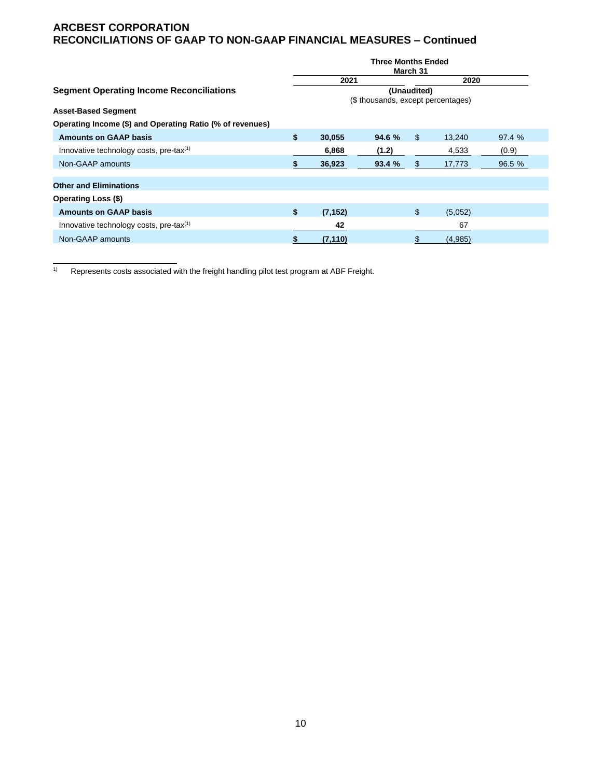# **ARCBEST CORPORATION RECONCILIATIONS OF GAAP TO NON-GAAP FINANCIAL MEASURES – Continued**

|                                                           | <b>Three Months Ended</b><br>March 31 |          |                                    |             |         |        |  |  |  |
|-----------------------------------------------------------|---------------------------------------|----------|------------------------------------|-------------|---------|--------|--|--|--|
|                                                           |                                       | 2021     |                                    |             | 2020    |        |  |  |  |
| <b>Segment Operating Income Reconciliations</b>           |                                       |          | (\$ thousands, except percentages) | (Unaudited) |         |        |  |  |  |
| <b>Asset-Based Segment</b>                                |                                       |          |                                    |             |         |        |  |  |  |
| Operating Income (\$) and Operating Ratio (% of revenues) |                                       |          |                                    |             |         |        |  |  |  |
| <b>Amounts on GAAP basis</b>                              | \$                                    | 30,055   | 94.6 %                             | \$          | 13,240  | 97.4%  |  |  |  |
| Innovative technology costs, pre-tax $(1)$                |                                       | 6,868    | (1.2)                              |             | 4,533   | (0.9)  |  |  |  |
| Non-GAAP amounts                                          |                                       | 36,923   | 93.4%                              | S           | 17,773  | 96.5 % |  |  |  |
| <b>Other and Eliminations</b>                             |                                       |          |                                    |             |         |        |  |  |  |
| <b>Operating Loss (\$)</b>                                |                                       |          |                                    |             |         |        |  |  |  |
| <b>Amounts on GAAP basis</b>                              | \$                                    | (7, 152) |                                    | \$          | (5,052) |        |  |  |  |
| Innovative technology costs, pre-tax $(1)$                |                                       | 42       |                                    |             | 67      |        |  |  |  |
| Non-GAAP amounts                                          | \$                                    | (7, 110) |                                    | \$          | (4,985) |        |  |  |  |

<sup>1)</sup> Represents costs associated with the freight handling pilot test program at ABF Freight.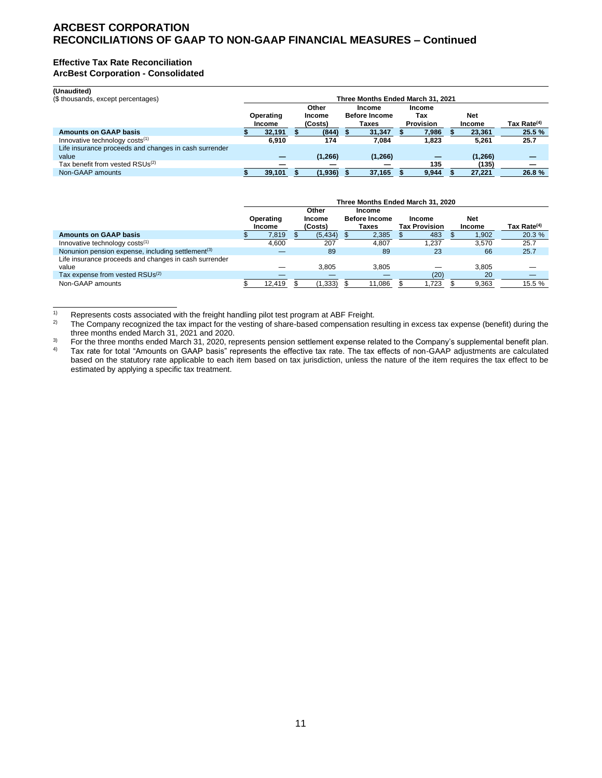#### **Effective Tax Rate Reconciliation ArcBest Corporation - Consolidated**

| (Unaudited)                                                    |                     |                            |                                         |                                   |                      |                         |
|----------------------------------------------------------------|---------------------|----------------------------|-----------------------------------------|-----------------------------------|----------------------|-------------------------|
| (\$ thousands, except percentages)                             |                     |                            | Three Months Ended March 31, 2021       |                                   |                      |                         |
|                                                                | Operating<br>Income | Other<br>Income<br>(Costs) | Income<br><b>Before Income</b><br>Taxes | Income<br>Tax<br><b>Provision</b> | Net<br><b>Income</b> | Tax Rate <sup>(4)</sup> |
| <b>Amounts on GAAP basis</b>                                   | 32,191              | (844)                      | 31.347                                  | 7.986                             | 23.361               | 25.5 %                  |
| Innovative technology costs $(1)$                              | 6.910               | 174                        | 7,084                                   | 1,823                             | 5.261                | 25.7                    |
| Life insurance proceeds and changes in cash surrender<br>value |                     | (1, 266)                   | (1,266)                                 |                                   | (1,266)              |                         |
| Tax benefit from vested RSUs <sup>(2)</sup>                    |                     |                            |                                         | 135                               | (135)                |                         |
| Non-GAAP amounts                                               | 39.101              | (1,936)                    | 37.165                                  | 9.944                             | 27.221               | 26.8%                   |

|                                                               | Three Months Ended March 31, 2020 |                     |  |                            |  |                                         |  |                                |                             |                         |
|---------------------------------------------------------------|-----------------------------------|---------------------|--|----------------------------|--|-----------------------------------------|--|--------------------------------|-----------------------------|-------------------------|
|                                                               |                                   | Operating<br>Income |  | Other<br>Income<br>(Costs) |  | Income<br><b>Before Income</b><br>Taxes |  | Income<br><b>Tax Provision</b> | <b>Net</b><br><b>Income</b> | Tax Rate <sup>(4)</sup> |
| <b>Amounts on GAAP basis</b>                                  |                                   | 7,819               |  | (5, 434)                   |  | 2,385                                   |  | 483                            | 1.902                       | 20.3 %                  |
| Innovative technology costs $(1)$                             |                                   | 4.600               |  | 207                        |  | 4.807                                   |  | 1.237                          | 3.570                       | 25.7                    |
| Nonunion pension expense, including settlement <sup>(3)</sup> |                                   |                     |  | 89                         |  | 89                                      |  | 23                             | 66                          | 25.7                    |
| Life insurance proceeds and changes in cash surrender         |                                   |                     |  |                            |  |                                         |  |                                |                             |                         |
| value                                                         |                                   |                     |  | 3.805                      |  | 3.805                                   |  |                                | 3.805                       |                         |
| Tax expense from vested RSUs <sup>(2)</sup>                   |                                   |                     |  |                            |  |                                         |  | (20)                           | 20                          |                         |
| Non-GAAP amounts                                              |                                   | 12,419              |  | 1,333                      |  | 11,086                                  |  | .723                           | 9,363                       | 15.5 %                  |

<sup>1)</sup> Represents costs associated with the freight handling pilot test program at ABF Freight.<br><sup>2)</sup> The Company recognized the tax impact for the vesting of share-based compensation re

2) The Company recognized the tax impact for the vesting of share-based compensation resulting in excess tax expense (benefit) during the three months ended March 31, 2021 and 2020.

<sup>3)</sup> For the three months ended March 31, 2020, represents pension settlement expense related to the Company's supplemental benefit plan.

Tax rate for total "Amounts on GAAP basis" represents the effective tax rate. The tax effects of non-GAAP adjustments are calculated based on the statutory rate applicable to each item based on tax jurisdiction, unless the nature of the item requires the tax effect to be estimated by applying a specific tax treatment.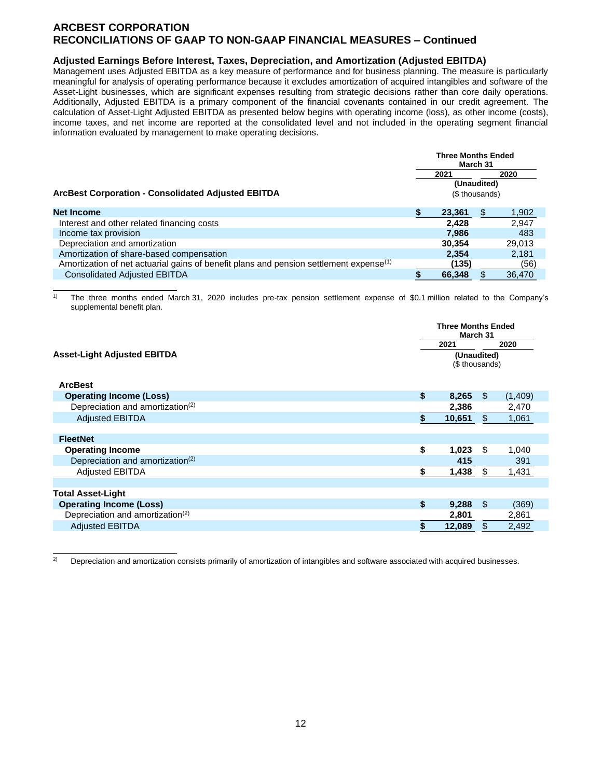## **ARCBEST CORPORATION RECONCILIATIONS OF GAAP TO NON-GAAP FINANCIAL MEASURES – Continued**

### **Adjusted Earnings Before Interest, Taxes, Depreciation, and Amortization (Adjusted EBITDA)**

Management uses Adjusted EBITDA as a key measure of performance and for business planning. The measure is particularly meaningful for analysis of operating performance because it excludes amortization of acquired intangibles and software of the Asset-Light businesses, which are significant expenses resulting from strategic decisions rather than core daily operations. Additionally, Adjusted EBITDA is a primary component of the financial covenants contained in our credit agreement. The calculation of Asset-Light Adjusted EBITDA as presented below begins with operating income (loss), as other income (costs), income taxes, and net income are reported at the consolidated level and not included in the operating segment financial information evaluated by management to make operating decisions.

|                                                                                                    | <b>Three Months Ended</b> | March 31 |        |
|----------------------------------------------------------------------------------------------------|---------------------------|----------|--------|
|                                                                                                    | 2021                      |          | 2020   |
|                                                                                                    | (Unaudited)               |          |        |
| <b>ArcBest Corporation - Consolidated Adjusted EBITDA</b>                                          | (\$ thousands)            |          |        |
| <b>Net Income</b>                                                                                  | 23,361                    | \$       | 1,902  |
| Interest and other related financing costs                                                         | 2.428                     |          | 2,947  |
| Income tax provision                                                                               | 7.986                     |          | 483    |
| Depreciation and amortization                                                                      | 30.354                    |          | 29,013 |
| Amortization of share-based compensation                                                           | 2.354                     |          | 2,181  |
| Amortization of net actuarial gains of benefit plans and pension settlement expense <sup>(1)</sup> | (135)                     |          | (56)   |
| <b>Consolidated Adjusted EBITDA</b>                                                                | 66,348                    |          | 36,470 |

<sup>1)</sup> The three months ended March 31, 2020 includes pre-tax pension settlement expense of \$0.1 million related to the Company's supplemental benefit plan.

|                                              |              | <b>Three Months Ended</b><br>March 31 |         |
|----------------------------------------------|--------------|---------------------------------------|---------|
|                                              | 2021         |                                       | 2020    |
| <b>Asset-Light Adjusted EBITDA</b>           |              | (Unaudited)<br>(\$ thousands)         |         |
| <b>ArcBest</b>                               |              |                                       |         |
| <b>Operating Income (Loss)</b>               | \$           | $8,265$ \$                            | (1,409) |
| Depreciation and amortization <sup>(2)</sup> | 2,386        |                                       | 2,470   |
| <b>Adjusted EBITDA</b>                       | 10,651<br>\$ | \$                                    | 1,061   |
| <b>FleetNet</b>                              |              |                                       |         |
| <b>Operating Income</b>                      | \$           | $1,023$ \$                            | 1,040   |
| Depreciation and amortization <sup>(2)</sup> |              | 415                                   | 391     |
| <b>Adjusted EBITDA</b>                       | \$<br>1,438  | \$                                    | 1,431   |
|                                              |              |                                       |         |
| <b>Total Asset-Light</b>                     |              |                                       |         |
| <b>Operating Income (Loss)</b>               | \$<br>9,288  | - \$                                  | (369)   |
| Depreciation and amortization <sup>(2)</sup> | 2,801        |                                       | 2,861   |
| <b>Adjusted EBITDA</b>                       | 12,089<br>\$ | \$                                    | 2,492   |

<sup>2)</sup> Depreciation and amortization consists primarily of amortization of intangibles and software associated with acquired businesses.